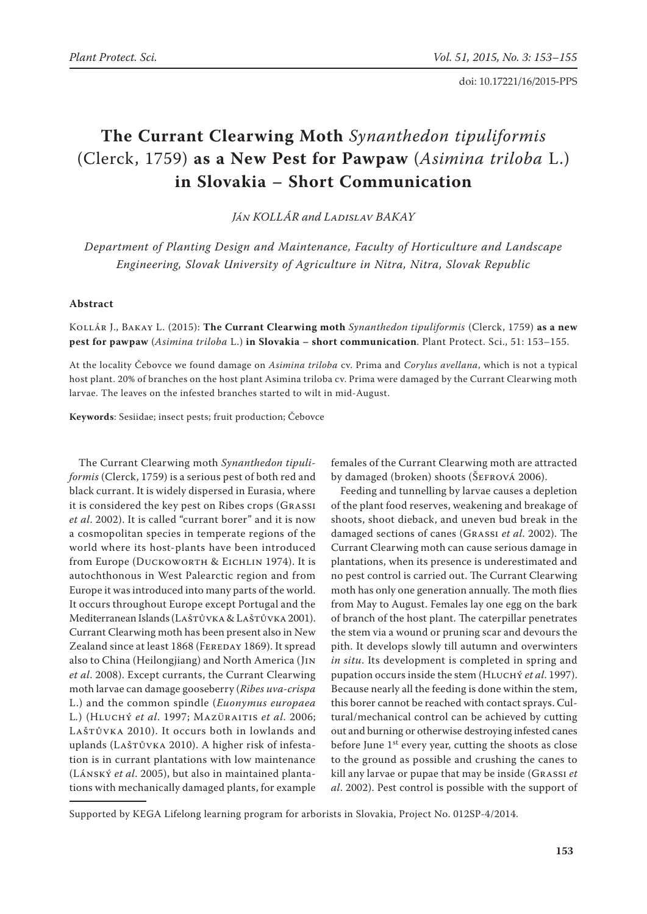doi: 10.17221/16/2015-PPS

# **The Currant Clearwing Moth** *Synanthedon tipuliformis*  (Clerck, 1759) **as a New Pest for Pawpaw** (*Asimina triloba* L.) **in Slovakia – Short Communication**

*Ján KOLLÁR and Ladislav BAKAY*

*Department of Planting Design and Maintenance, Faculty of Horticulture and Landscape Engineering, Slovak University of Agriculture in Nitra, Nitra, Slovak Republic*

#### **Abstract**

Kollár J., Bakay L. (2015): **The Currant Clearwing moth** *Synanthedon tipuliformis* (Clerck, 1759) **as a new pest for pawpaw** (*Asimina triloba* L.) **in Slovakia – short communication**. Plant Protect. Sci., 51: 153–155.

At the locality Čebovce we found damage on *Asimina triloba* cv. Prima and *Corylus avellana*, which is not a typical host plant. 20% of branches on the host plant Asimina triloba cv. Prima were damaged by the Currant Clearwing moth larvae. The leaves on the infested branches started to wilt in mid-August.

**Keywords**: Sesiidae; insect pests; fruit production; Čebovce

The Currant Clearwing moth *Synanthedon tipuliformis* (Clerck, 1759) is a serious pest of both red and black currant. It is widely dispersed in Eurasia, where it is considered the key pest on Ribes crops (Grassi *et al*. 2002). It is called "currant borer" and it is now a cosmopolitan species in temperate regions of the world where its host-plants have been introduced from Europe (DUCKOWORTH & EICHLIN 1974). It is autochthonous in West Palearctic region and from Europe it was introduced into many parts of the world. It occurs throughout Europe except Portugal and the Mediterranean Islands (LAŠTŮVKA & LAŠTŮVKA 2001). Currant Clearwing moth has been present also in New Zealand since at least 1868 (FEREDAY 1869). It spread also to China (Heilongjiang) and North America (Jin *et al*. 2008). Except currants, the Currant Clearwing moth larvae can damage gooseberry (*Ribes uva-crispa* L.) and the common spindle (*Euonymus europaea*  L*.*) (Hluchý *et al*. 1997; Mazüraitis *et al*. 2006; LAŠTŮVKA 2010). It occurs both in lowlands and uplands (LAŠTŮVKA 2010). A higher risk of infestation is in currant plantations with low maintenance (Lánský *et al*. 2005), but also in maintained plantations with mechanically damaged plants, for example

females of the Currant Clearwing moth are attracted by damaged (broken) shoots (ŠEFROVÁ 2006).

Feeding and tunnelling by larvae causes a depletion of the plant food reserves, weakening and breakage of shoots, shoot dieback, and uneven bud break in the damaged sections of canes (Grassi *et al*. 2002). The Currant Clearwing moth can cause serious damage in plantations, when its presence is underestimated and no pest control is carried out. The Currant Clearwing moth has only one generation annually. The moth flies from May to August. Females lay one egg on the bark of branch of the host plant. The caterpillar penetrates the stem via a wound or pruning scar and devours the pith. It develops slowly till autumn and overwinters *in situ*. Its development is completed in spring and pupation occurs inside the stem (Hluchý *et al*. 1997). Because nearly all the feeding is done within the stem, this borer cannot be reached with contact sprays. Cultural/mechanical control can be achieved by cutting out and burning or otherwise destroying infested canes before June  $1<sup>st</sup>$  every year, cutting the shoots as close to the ground as possible and crushing the canes to kill any larvae or pupae that may be inside (Grassi *et al*. 2002). Pest control is possible with the support of

Supported by KEGA Lifelong learning program for arborists in Slovakia, Project No. 012SP-4/2014.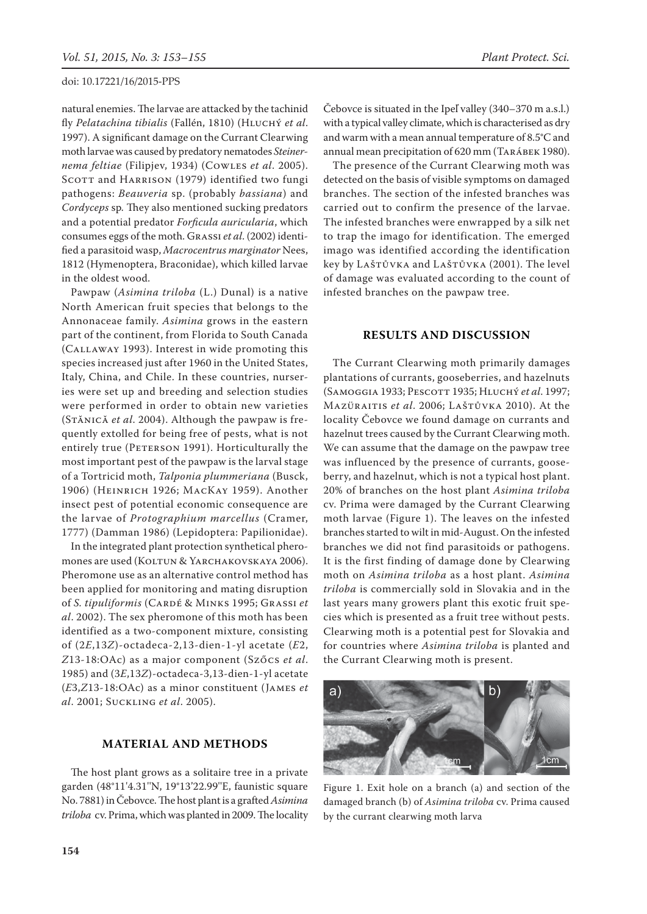natural enemies. The larvae are attacked by the tachinid fly *Pelatachina tibialis* (Fallén, 1810) (Hluchý *et al*. 1997). A significant damage on the Currant Clearwing moth larvae was caused by predatory nematodes *Steinernema feltiae* (Filipjev, 1934) (Cowles *et al*. 2005). SCOTT and HARRISON (1979) identified two fungi pathogens: *Beauveria* sp. (probably *bassiana*) and *Cordyceps* sp*.* They also mentioned sucking predators and a potential predator *Forficula auricularia*, which consumes eggs of the moth. Grassi *et al*. (2002) identified a parasitoid wasp, *Macrocentrus marginator* Nees, 1812 (Hymenoptera, Braconidae), which killed larvae in the oldest wood.

Pawpaw (*Asimina triloba* (L.) Dunal) is a native North American fruit species that belongs to the Annonaceae family. *Asimina* grows in the eastern part of the continent, from Florida to South Canada (Callaway 1993). Interest in wide promoting this species increased just after 1960 in the United States, Italy, China, and Chile. In these countries, nurseries were set up and breeding and selection studies were performed in order to obtain new varieties (Stănică *et al*. 2004). Although the pawpaw is frequently extolled for being free of pests, what is not entirely true (PETERSON 1991). Horticulturally the most important pest of the pawpaw is the larval stage of a Tortricid moth, *Talponia plummeriana* (Busck, 1906) (Heinrich 1926; MacKay 1959). Another insect pest of potential economic consequence are the larvae of *Protographium marcellus* (Cramer, 1777) (Damman 1986) (Lepidoptera: Papilionidae).

In the integrated plant protection synthetical pheromones are used (KOLTUN & YARCHAKOVSKAYA 2006). Pheromone use as an alternative control method has been applied for monitoring and mating disruption of *S. tipuliformis* (Cardé & Minks 1995; Grassi *et al*. 2002). The sex pheromone of this moth has been identified as a two-component mixture, consisting of (2*E*,13*Z*)-octadeca-2,13-dien-1-yl acetate (*E*2, *Z*13-18:OAc) as a major component (Szőcs *et al*. 1985) and (3*E*,13*Z*)-octadeca-3,13-dien-1-yl acetate (*E*3,*Z*13-18:OAc) as a minor constituent (James *et al*. 2001; Suckling *et al*. 2005).

## **MATERIAL AND METHODS**

The host plant grows as a solitaire tree in a private garden (48°11'4.31''N, 19°13'22.99''E, faunistic square No. 7881) in Čebovce. The host plant is a grafted *Asimina triloba* cv. Prima, which was planted in 2009. The locality Čebovce is situated in the Ipeľ valley (340–370 m a.s.l.) with a typical valley climate, which is characterised as dry and warm with a mean annual temperature of 8.5°C and annual mean precipitation of 620 mm (Tarábek 1980).

The presence of the Currant Clearwing moth was detected on the basis of visible symptoms on damaged branches. The section of the infested branches was carried out to confirm the presence of the larvae. The infested branches were enwrapped by a silk net to trap the imago for identification. The emerged imago was identified according the identification key by Laštůvka and Laštůvka (2001). The level of damage was evaluated according to the count of infested branches on the pawpaw tree.

### **RESULTS AND DISCUSSION**

The Currant Clearwing moth primarily damages plantations of currants, gooseberries, and hazelnuts (Samoggia 1933; Pescott 1935; Hluchý *et al*. 1997; Mazüraitis *et al*. 2006; Laštůvka 2010). At the locality Čebovce we found damage on currants and hazelnut trees caused by the Currant Clearwing moth. We can assume that the damage on the pawpaw tree was influenced by the presence of currants, gooseberry, and hazelnut, which is not a typical host plant. 20% of branches on the host plant *Asimina triloba* cv. Prima were damaged by the Currant Clearwing moth larvae (Figure 1). The leaves on the infested branches started to wilt in mid-August. On the infested branches we did not find parasitoids or pathogens. It is the first finding of damage done by Clearwing moth on *Asimina triloba* as a host plant. *Asimina triloba* is commercially sold in Slovakia and in the last years many growers plant this exotic fruit species which is presented as a fruit tree without pests. Clearwing moth is a potential pest for Slovakia and for countries where *Asimina triloba* is planted and the Currant Clearwing moth is present.



Figure 1. Exit hole on a branch (a) and section of the damaged branch (b) of *Asimina triloba* cv. Prima caused by the currant clearwing moth larva